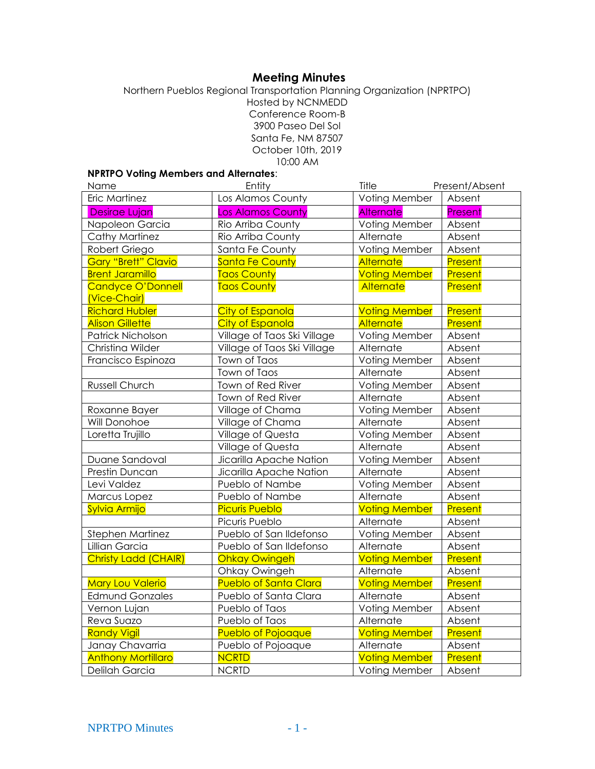# **Meeting Minutes**

Northern Pueblos Regional Transportation Planning Organization (NPRTPO) Hosted by NCNMEDD Conference Room-B 3900 Paseo Del Sol Santa Fe, NM 87507 October 10th, 2019 10:00 AM

# **NPRTPO Voting Members and Alternates**:

| Name                       | Entity                       | Title                | Present/Absent |
|----------------------------|------------------------------|----------------------|----------------|
| Eric Martinez              | Los Alamos County            | Voting Member        | Absent         |
| Desirae Lujan              | <b>Los Alamos County</b>     | <b>Alternate</b>     | Present        |
| Napoleon Garcia            | Rio Arriba County            | Voting Member        | Absent         |
| <b>Cathy Martinez</b>      | Rio Arriba County            | Alternate            | Absent         |
| Robert Griego              | Santa Fe County              | Voting Member        | Absent         |
| <b>Gary "Brett" Clavio</b> | Santa Fe County              | <b>Alternate</b>     | Present        |
| <b>Brent Jaramillo</b>     | <b>Taos County</b>           | <b>Voting Member</b> | Present        |
| Candyce O'Donnell          | <b>Taos County</b>           | Alternate            | Present        |
| (Vice-Chair)               |                              |                      |                |
| <b>Richard Hubler</b>      | <b>City of Espanola</b>      | <b>Voting Member</b> | Present        |
| <b>Alison Gillette</b>     | <b>City of Espanola</b>      | Alternate            | Present        |
| Patrick Nicholson          | Village of Taos Ski Village  | Voting Member        | Absent         |
| Christina Wilder           | Village of Taos Ski Village  | Alternate            | Absent         |
| Francisco Espinoza         | Town of Taos                 | Voting Member        | Absent         |
|                            | Town of Taos                 | Alternate            | Absent         |
| <b>Russell Church</b>      | Town of Red River            | Voting Member        | Absent         |
|                            | Town of Red River            | Alternate            | Absent         |
| Roxanne Bayer              | Village of Chama             | Voting Member        | Absent         |
| Will Donohoe               | Village of Chama             | Alternate            | Absent         |
| Loretta Trujillo           | Village of Questa            | Voting Member        | Absent         |
|                            | Village of Questa            | Alternate            | Absent         |
| Duane Sandoval             | Jicarilla Apache Nation      | Voting Member        | Absent         |
| Prestin Duncan             | Jicarilla Apache Nation      | Alternate            | Absent         |
| Levi Valdez                | Pueblo of Nambe              | Voting Member        | Absent         |
| Marcus Lopez               | Pueblo of Nambe              | Alternate            | Absent         |
| Sylvia Armijo              | <b>Picuris Pueblo</b>        | <b>Voting Member</b> | Present        |
|                            | Picuris Pueblo               | Alternate            | Absent         |
| Stephen Martinez           | Pueblo of San Ildefonso      | Voting Member        | Absent         |
| Lillian Garcia             | Pueblo of San Ildefonso      | Alternate            | Absent         |
| Christy Ladd (CHAIR)       | <b>Ohkay Owingeh</b>         | <b>Voting Member</b> | Present        |
|                            | Ohkay Owingeh                | Alternate            | Absent         |
| Mary Lou Valerio           | <b>Pueblo of Santa Clara</b> | <b>Voting Member</b> | <b>Present</b> |
| <b>Edmund Gonzales</b>     | Pueblo of Santa Clara        | Alternate            | Absent         |
| Vernon Lujan               | Pueblo of Taos               | Voting Member        | Absent         |
| Reva Suazo                 | Pueblo of Taos               | Alternate            | Absent         |
| <b>Randy Vigil</b>         | <b>Pueblo of Pojoaque</b>    | <b>Voting Member</b> | <b>Present</b> |
| Janay Chavarria            | Pueblo of Pojoaque           | Alternate            | Absent         |
| <b>Anthony Mortillaro</b>  | <b>NCRTD</b>                 | <b>Voting Member</b> | Present        |
| Delilah Garcia             | <b>NCRTD</b>                 | Voting Member        | Absent         |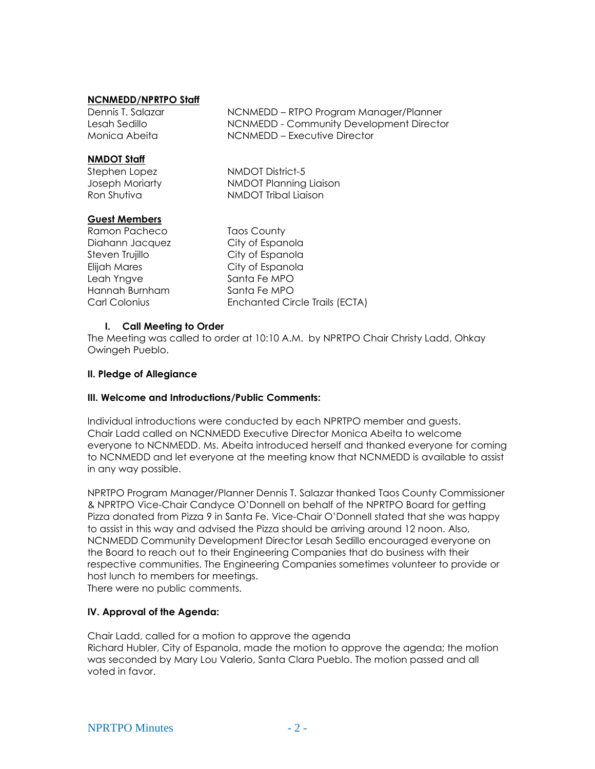## **NCNMEDD/NPRTPO Staff**

Dennis T. Salazar **NONMEDD** – RTPO Program Manager/Planner Lesah Sedillo NCNMEDD - Community Development Director Monica Abeita NCNMEDD – Executive Director

**NMDOT Staff**

Stephen Lopez NMDOT District-5 Joseph Moriarty NMDOT Planning Liaison Ron Shutiva NMDOT Tribal Liaison

## **Guest Members**

Ramon Pacheco Taos County Diahann Jacquez City of Espanola Steven Trujillo City of Espanola Elijah Mares City of Espanola Leah Yngve Santa Fe MPO Hannah Burnham Santa Fe MPO

Carl Colonius Enchanted Circle Trails (ECTA)

# **I. Call Meeting to Order**

The Meeting was called to order at 10:10 A.M. by NPRTPO Chair Christy Ladd, Ohkay Owingeh Pueblo.

## **II. Pledge of Allegiance**

#### **III. Welcome and Introductions/Public Comments:**

Individual introductions were conducted by each NPRTPO member and guests. Chair Ladd called on NCNMEDD Executive Director Monica Abeita to welcome everyone to NCNMEDD. Ms. Abeita introduced herself and thanked everyone for coming to NCNMEDD and let everyone at the meeting know that NCNMEDD is available to assist in any way possible.

NPRTPO Program Manager/Planner Dennis T. Salazar thanked Taos County Commissioner & NPRTPO Vice-Chair Candyce O'Donnell on behalf of the NPRTPO Board for getting Pizza donated from Pizza 9 in Santa Fe. Vice-Chair O'Donnell stated that she was happy to assist in this way and advised the Pizza should be arriving around 12 noon. Also, NCNMEDD Community Development Director Lesah Sedillo encouraged everyone on the Board to reach out to their Engineering Companies that do business with their respective communities. The Engineering Companies sometimes volunteer to provide or host lunch to members for meetings.

There were no public comments.

# **IV. Approval of the Agenda:**

Chair Ladd, called for a motion to approve the agenda Richard Hubler, City of Espanola, made the motion to approve the agenda; the motion was seconded by Mary Lou Valerio, Santa Clara Pueblo. The motion passed and all voted in favor.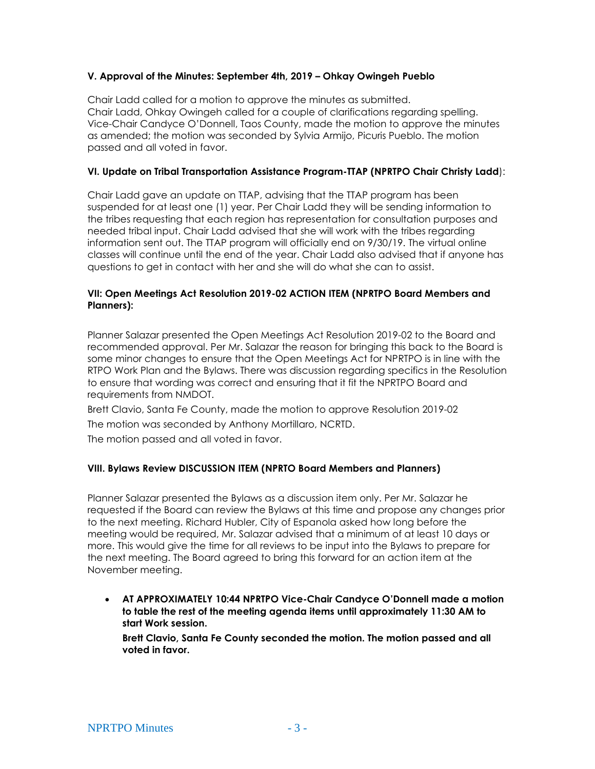## **V. Approval of the Minutes: September 4th, 2019 – Ohkay Owingeh Pueblo**

Chair Ladd called for a motion to approve the minutes as submitted. Chair Ladd, Ohkay Owingeh called for a couple of clarifications regarding spelling. Vice-Chair Candyce O'Donnell, Taos County, made the motion to approve the minutes as amended; the motion was seconded by Sylvia Armijo, Picuris Pueblo. The motion passed and all voted in favor.

## **VI. Update on Tribal Transportation Assistance Program-TTAP (NPRTPO Chair Christy Ladd**):

Chair Ladd gave an update on TTAP, advising that the TTAP program has been suspended for at least one (1) year. Per Chair Ladd they will be sending information to the tribes requesting that each region has representation for consultation purposes and needed tribal input. Chair Ladd advised that she will work with the tribes regarding information sent out. The TTAP program will officially end on 9/30/19. The virtual online classes will continue until the end of the year. Chair Ladd also advised that if anyone has questions to get in contact with her and she will do what she can to assist.

#### **VII: Open Meetings Act Resolution 2019-02 ACTION ITEM (NPRTPO Board Members and Planners):**

Planner Salazar presented the Open Meetings Act Resolution 2019-02 to the Board and recommended approval. Per Mr. Salazar the reason for bringing this back to the Board is some minor changes to ensure that the Open Meetings Act for NPRTPO is in line with the RTPO Work Plan and the Bylaws. There was discussion regarding specifics in the Resolution to ensure that wording was correct and ensuring that it fit the NPRTPO Board and requirements from NMDOT.

Brett Clavio, Santa Fe County, made the motion to approve Resolution 2019-02

The motion was seconded by Anthony Mortillaro, NCRTD.

The motion passed and all voted in favor.

# **VIII. Bylaws Review DISCUSSION ITEM (NPRTO Board Members and Planners)**

Planner Salazar presented the Bylaws as a discussion item only. Per Mr. Salazar he requested if the Board can review the Bylaws at this time and propose any changes prior to the next meeting. Richard Hubler, City of Espanola asked how long before the meeting would be required, Mr. Salazar advised that a minimum of at least 10 days or more. This would give the time for all reviews to be input into the Bylaws to prepare for the next meeting. The Board agreed to bring this forward for an action item at the November meeting.

• **AT APPROXIMATELY 10:44 NPRTPO Vice-Chair Candyce O'Donnell made a motion to table the rest of the meeting agenda items until approximately 11:30 AM to start Work session.**

**Brett Clavio, Santa Fe County seconded the motion. The motion passed and all voted in favor.**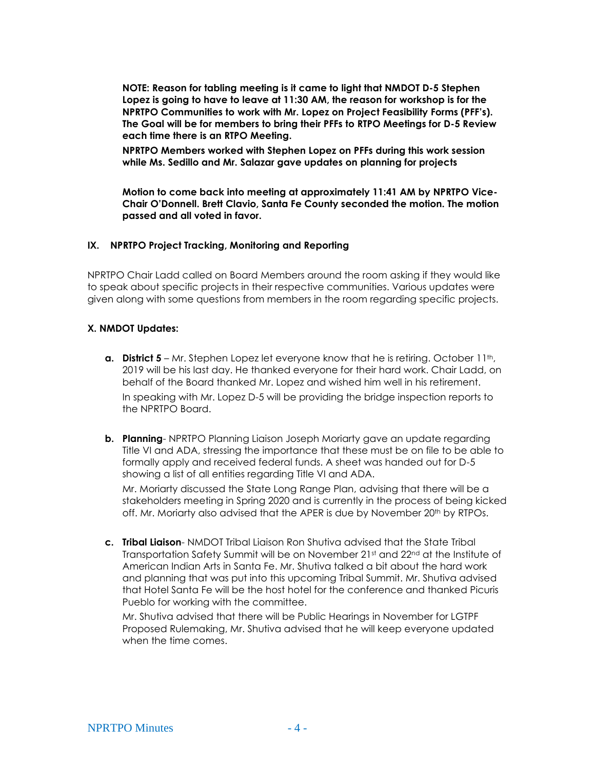**NOTE: Reason for tabling meeting is it came to light that NMDOT D-5 Stephen Lopez is going to have to leave at 11:30 AM, the reason for workshop is for the NPRTPO Communities to work with Mr. Lopez on Project Feasibility Forms (PFF's). The Goal will be for members to bring their PFFs to RTPO Meetings for D-5 Review each time there is an RTPO Meeting.**

**NPRTPO Members worked with Stephen Lopez on PFFs during this work session while Ms. Sedillo and Mr. Salazar gave updates on planning for projects**

**Motion to come back into meeting at approximately 11:41 AM by NPRTPO Vice-Chair O'Donnell. Brett Clavio, Santa Fe County seconded the motion. The motion passed and all voted in favor.**

#### **IX. NPRTPO Project Tracking, Monitoring and Reporting**

NPRTPO Chair Ladd called on Board Members around the room asking if they would like to speak about specific projects in their respective communities. Various updates were given along with some questions from members in the room regarding specific projects.

#### **X. NMDOT Updates:**

- **a. District 5** Mr. Stephen Lopez let everyone know that he is retiring. October 11<sup>th</sup>, 2019 will be his last day. He thanked everyone for their hard work. Chair Ladd, on behalf of the Board thanked Mr. Lopez and wished him well in his retirement. In speaking with Mr. Lopez D-5 will be providing the bridge inspection reports to the NPRTPO Board.
- **b. Planning** NPRTPO Planning Liaison Joseph Moriarty gave an update regarding Title VI and ADA, stressing the importance that these must be on file to be able to formally apply and received federal funds. A sheet was handed out for D-5 showing a list of all entities regarding Title VI and ADA.

Mr. Moriarty discussed the State Long Range Plan, advising that there will be a stakeholders meeting in Spring 2020 and is currently in the process of being kicked off. Mr. Moriarty also advised that the APER is due by November 20<sup>th</sup> by RTPOs.

**c. Tribal Liaison**- NMDOT Tribal Liaison Ron Shutiva advised that the State Tribal Transportation Safety Summit will be on November 21st and 22<sup>nd</sup> at the Institute of American Indian Arts in Santa Fe. Mr. Shutiva talked a bit about the hard work and planning that was put into this upcoming Tribal Summit. Mr. Shutiva advised that Hotel Santa Fe will be the host hotel for the conference and thanked Picuris Pueblo for working with the committee.

Mr. Shutiva advised that there will be Public Hearings in November for LGTPF Proposed Rulemaking, Mr. Shutiva advised that he will keep everyone updated when the time comes.